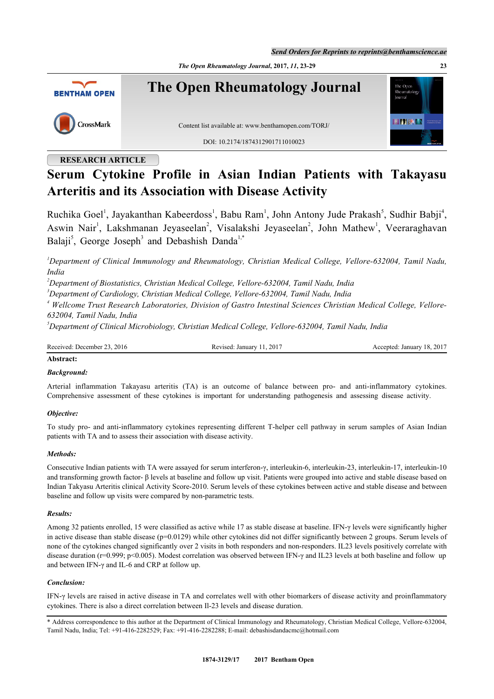*Send Orders for Reprints to reprints@benthamscience.ae*

*The Open Rheumatology Journal***, 2017,** *11***, 23-29 23**



# **RESEARCH ARTICLE**

# **Serum Cytokine Profile in Asian Indian Patients with Takayasu Arteritis and its Association with Disease Activity**

Ruchika Goel<sup>[1](#page-0-0)</sup>, Jayakanthan Kabeerdoss<sup>1</sup>, Babu Ram<sup>1</sup>, John Antony Jude Prakash<sup>[5](#page-0-1)</sup>, Sudhir Babji<sup>[4](#page-0-2)</sup>, Aswin Nair<sup>[1](#page-0-0)</sup>, Lakshmanan Jeyaseelan<sup>[2](#page-0-3)</sup>, Visalakshi Jeyaseelan<sup>2</sup>, John Mathew<sup>1</sup>, Veeraraghavan Balaji<sup>[5](#page-0-1)</sup>, George Joseph<sup>[3](#page-0-4)</sup> and Debashish Danda<sup>[1,](#page-0-0)[\\*](#page-0-5)</sup>

<span id="page-0-0"></span>*<sup>1</sup>Department of Clinical Immunology and Rheumatology, Christian Medical College, Vellore-632004, Tamil Nadu, India*

<span id="page-0-3"></span>*<sup>2</sup>Department of Biostatistics, Christian Medical College, Vellore-632004, Tamil Nadu, India*

<span id="page-0-4"></span>*<sup>3</sup>Department of Cardiology, Christian Medical College, Vellore-632004, Tamil Nadu, India*

<span id="page-0-2"></span><sup>4</sup> Wellcome Trust Research Laboratories, Division of Gastro Intestinal Sciences Christian Medical College, Vellore-*632004, Tamil Nadu, India*

<span id="page-0-1"></span>*<sup>5</sup>Department of Clinical Microbiology, Christian Medical College, Vellore-632004, Tamil Nadu, India*

Received: December 23, 2016 Revised: January 11, 2017 Accepted: January 18, 2017

# **Abstract:**

### *Background:*

Arterial inflammation Takayasu arteritis (TA) is an outcome of balance between pro- and anti-inflammatory cytokines. Comprehensive assessment of these cytokines is important for understanding pathogenesis and assessing disease activity.

#### *Objective:*

To study pro- and anti-inflammatory cytokines representing different T-helper cell pathway in serum samples of Asian Indian patients with TA and to assess their association with disease activity.

#### *Methods:*

Consecutive Indian patients with TA were assayed for serum interferon-γ, interleukin-6, interleukin-23, interleukin-17, interleukin-10 and transforming growth factor- β levels at baseline and follow up visit. Patients were grouped into active and stable disease based on Indian Takyasu Arteritis clinical Activity Score-2010. Serum levels of these cytokines between active and stable disease and between baseline and follow up visits were compared by non-parametric tests.

#### *Results:*

Among 32 patients enrolled, 15 were classified as active while 17 as stable disease at baseline. IFN-γ levels were significantly higher in active disease than stable disease (p=0.0129) while other cytokines did not differ significantly between 2 groups. Serum levels of none of the cytokines changed significantly over 2 visits in both responders and non-responders. IL23 levels positively correlate with disease duration (r=0.999; p<0.005). Modest correlation was observed between IFN-γ and IL23 levels at both baseline and follow up and between IFN-γ and IL-6 and CRP at follow up.

#### *Conclusion:*

IFN-γ levels are raised in active disease in TA and correlates well with other biomarkers of disease activity and proinflammatory cytokines. There is also a direct correlation between Il-23 levels and disease duration.

<span id="page-0-5"></span>\* Address correspondence to this author at the Department of Clinical Immunology and Rheumatology, Christian Medical College, Vellore-632004, Tamil Nadu, India; Tel: +91-416-2282529; Fax: +91-416-2282288; E-mail: [debashisdandacmc@hotmail.com](mailto:debashisdandacmc@hotmail.com)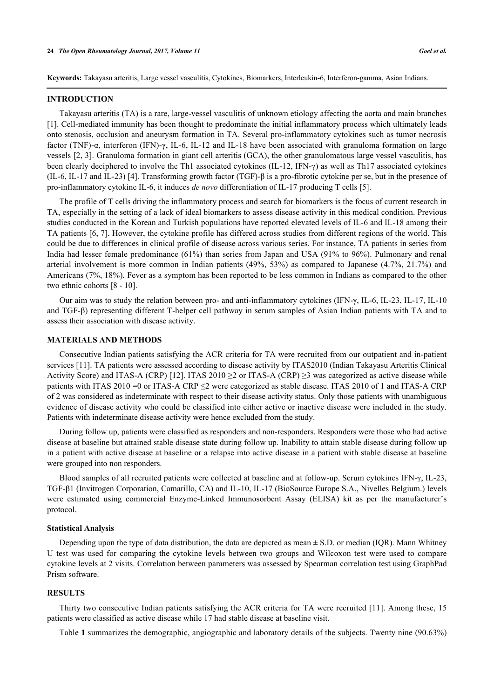**Keywords:** Takayasu arteritis, Large vessel vasculitis, Cytokines, Biomarkers, Interleukin-6, Interferon-gamma, Asian Indians.

#### **INTRODUCTION**

Takayasu arteritis (TA) is a rare, large-vessel vasculitis of unknown etiology affecting the aorta and main branches [\[1](#page-5-0)]. Cell-mediated immunity has been thought to predominate the initial inflammatory process which ultimately leads onto stenosis, occlusion and aneurysm formation in TA. Several pro-inflammatory cytokines such as tumor necrosis factor (TNF)-α, interferon (IFN)-γ, IL-6, IL-12 and IL-18 have been associated with granuloma formation on large vessels [[2,](#page-5-1) [3](#page-5-2)]. Granuloma formation in giant cell arteritis (GCA), the other granulomatous large vessel vasculitis, has been clearly deciphered to involve the Th1 associated cytokines (IL-12, IFN-γ) as well as Th17 associated cytokines (IL-6, IL-17 and IL-23) [\[4](#page-5-3)]. Transforming growth factor (TGF)-β is a pro-fibrotic cytokine per se, but in the presence of pro-inflammatory cytokine IL-6, it induces *de novo* differentiation of IL-17 producing T cells [[5\]](#page-5-4).

The profile of T cells driving the inflammatory process and search for biomarkers is the focus of current research in TA, especially in the setting of a lack of ideal biomarkers to assess disease activity in this medical condition. Previous studies conducted in the Korean and Turkish populations have reported elevated levels of IL-6 and IL-18 among their TA patients [[6,](#page-5-5) [7](#page-5-6)]. However, the cytokine profile has differed across studies from different regions of the world. This could be due to differences in clinical profile of disease across various series. For instance, TA patients in series from India had lesser female predominance (61%) than series from Japan and USA (91% to 96%). Pulmonary and renal arterial involvement is more common in Indian patients (49%, 53%) as compared to Japanese (4.7%, 21.7%) and Americans (7%, 18%). Fever as a symptom has been reported to be less common in Indians as compared to the other two ethnic cohorts [\[8](#page-5-7) - [10\]](#page-5-8).

Our aim was to study the relation between pro- and anti-inflammatory cytokines (IFN-γ, IL-6, IL-23, IL-17, IL-10 and TGF-β) representing different T-helper cell pathway in serum samples of Asian Indian patients with TA and to assess their association with disease activity.

#### **MATERIALS AND METHODS**

Consecutive Indian patients satisfying the ACR criteria for TA were recruited from our outpatient and in-patient services [\[11](#page-5-9)]. TA patients were assessed according to disease activity by ITAS2010 (Indian Takayasu Arteritis Clinical Activity Score) and ITAS-A (CRP) [[12\]](#page-5-10). ITAS 2010  $\geq$ 2 or ITAS-A (CRP)  $\geq$ 3 was categorized as active disease while patients with ITAS 2010 =0 or ITAS-A CRP ≤2 were categorized as stable disease. ITAS 2010 of 1 and ITAS-A CRP of 2 was considered as indeterminate with respect to their disease activity status. Only those patients with unambiguous evidence of disease activity who could be classified into either active or inactive disease were included in the study. Patients with indeterminate disease activity were hence excluded from the study.

During follow up, patients were classified as responders and non-responders. Responders were those who had active disease at baseline but attained stable disease state during follow up. Inability to attain stable disease during follow up in a patient with active disease at baseline or a relapse into active disease in a patient with stable disease at baseline were grouped into non responders.

Blood samples of all recruited patients were collected at baseline and at follow-up. Serum cytokines IFN-γ, IL-23, TGF-β1 (Invitrogen Corporation, Camarillo, CA) and IL-10, IL-17 (BioSource Europe S.A., Nivelles Belgium.) levels were estimated using commercial Enzyme-Linked Immunosorbent Assay (ELISA) kit as per the manufacturer's protocol.

#### **Statistical Analysis**

Depending upon the type of data distribution, the data are depicted as mean  $\pm$  S.D. or median (IQR). Mann Whitney U test was used for comparing the cytokine levels between two groups and Wilcoxon test were used to compare cytokine levels at 2 visits. Correlation between parameters was assessed by Spearman correlation test using GraphPad Prism software.

#### **RESULTS**

Thirty two consecutive Indian patients satisfying the ACR criteria for TA were recruited [\[11\]](#page-5-9). Among these, 15 patients were classified as active disease while 17 had stable disease at baseline visit.

Table **[1](#page-2-0)** summarizes the demographic, angiographic and laboratory details of the subjects. Twenty nine (90.63%)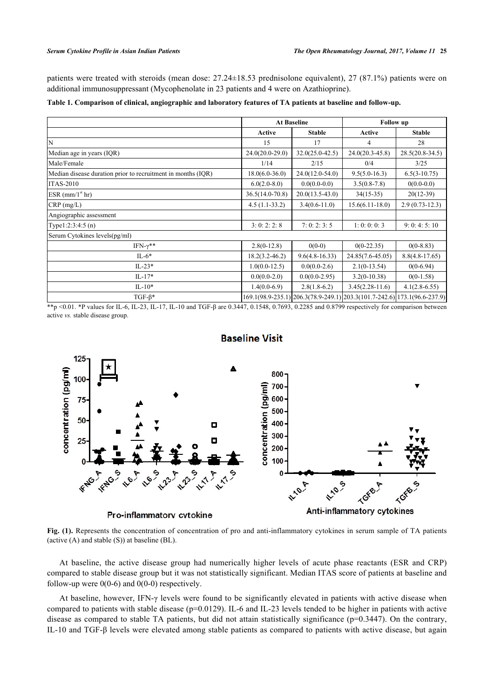patients were treated with steroids (mean dose: 27.24±18.53 prednisolone equivalent), 27 (87.1%) patients were on additional immunosuppressant (Mycophenolate in 23 patients and 4 were on Azathioprine).

<span id="page-2-0"></span>

|  |  | Table 1. Comparison of clinical, angiographic and laboratory features of TA patients at baseline and follow-up. |
|--|--|-----------------------------------------------------------------------------------------------------------------|
|  |  |                                                                                                                 |

|                                                              |                     | <b>At Baseline</b>  |                                                                          | <b>Follow</b> up  |  |
|--------------------------------------------------------------|---------------------|---------------------|--------------------------------------------------------------------------|-------------------|--|
|                                                              | Active              | <b>Stable</b>       | Active                                                                   | <b>Stable</b>     |  |
| N                                                            | 15                  | 17                  | 4                                                                        | 28                |  |
| Median age in years (IQR)                                    | $24.0(20.0-29.0)$   | $32.0(25.0 - 42.5)$ | $24.0(20.3 - 45.8)$                                                      | $28.5(20.8-34.5)$ |  |
| Male/Female                                                  | 1/14                | 2/15                | 0/4                                                                      | 3/25              |  |
| Median disease duration prior to recruitment in months (IQR) | $18.0(6.0-36.0)$    | $24.0(12.0-54.0)$   | $9.5(5.0-16.3)$                                                          | $6.5(3-10.75)$    |  |
| <b>ITAS-2010</b>                                             | $6.0(2.0-8.0)$      | $0.0(0.0-0.0)$      | $3.5(0.8-7.8)$                                                           | $0(0.0-0.0)$      |  |
| $ESR$ (mm/1 <sup>st</sup> hr)                                | $36.5(14.0 - 70.8)$ | $20.0(13.5-43.0)$   | $34(15-35)$                                                              | $20(12-39)$       |  |
| $CRP$ (mg/L)                                                 | $4.5(1.1-33.2)$     | $3.4(0.6 - 11.0)$   | $15.6(6.11-18.0)$                                                        | $2.9(0.73-12.3)$  |  |
| Angiographic assessment                                      |                     |                     |                                                                          |                   |  |
| Type $1:2:3:4:5(n)$                                          | 3:0:2:2:8           | 7:0:2:3:5           | 1:0:0:0:3                                                                | 9:0:4:5:10        |  |
| Serum Cytokines levels(pg/ml)                                |                     |                     |                                                                          |                   |  |
| IFN- $\gamma^{**}$                                           | $2.8(0-12.8)$       | $0(0-0)$            | $0(0-22.35)$                                                             | $0(0-8.83)$       |  |
| $IL-6*$                                                      | $18.2(3.2 - 46.2)$  | $9.6(4.8-16.33)$    | 24.85(7.6-45.05)                                                         | $8.8(4.8-17.65)$  |  |
| $IL-23*$                                                     | $1.0(0.0-12.5)$     | $0.0(0.0-2.6)$      | $2.1(0-13.54)$                                                           | $0(0-6.94)$       |  |
| $IL-17*$                                                     | $0.0(0.0-2.0)$      | $0.0(0.0-2.95)$     | $3.2(0-10.38)$                                                           | $0(0-1.58)$       |  |
| $IL-10*$                                                     | $1.4(0.0-6.9)$      | $2.8(1.8-6.2)$      | $3.45(2.28-11.6)$                                                        | $4.1(2.8-6.55)$   |  |
| $TGF-\beta*$                                                 |                     |                     | 169.1(98.9-235.1) 206.3(78.9-249.1) 203.3(101.7-242.6) 173.1(96.6-237.9) |                   |  |

<span id="page-2-1"></span>\*\*p <0.01. \*P values for IL-6, IL-23, IL-17, IL-10 and TGF-β are 0.3447, 0.1548, 0.7693, 0.2285 and 0.8799 respectively for comparison between active *vs.* stable disease group.



# **Baseline Visit**

**Fig. (1).** Represents the concentration of concentration of pro and anti-inflammatory cytokines in serum sample of TA patients (active (A) and stable (S)) at baseline (BL).

At baseline, the active disease group had numerically higher levels of acute phase reactants (ESR and CRP) compared to stable disease group but it was not statistically significant. Median ITAS score of patients at baseline and follow-up were  $0(0-6)$  and  $0(0-0)$  respectively.

At baseline, however, IFN-γ levels were found to be significantly elevated in patients with active disease when compared to patients with stable disease (p=0.0129). IL-6 and IL-23 levels tended to be higher in patients with active disease as compared to stable TA patients, but did not attain statistically significance ( $p=0.3447$ ). On the contrary, IL-10 and TGF-β levels were elevated among stable patients as compared to patients with active disease, but again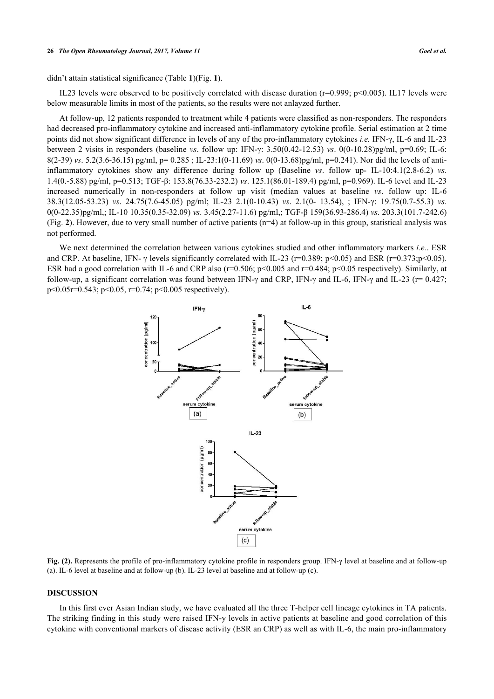#### **26** *The Open Rheumatology Journal, 2017, Volume 11 Goel et al.*

didn't attain statistical significance (Table **[1](#page-2-0)**)(Fig. **[1](#page-2-1)**).

IL23 levels were observed to be positively correlated with disease duration ( $r=0.999$ ;  $p<0.005$ ). IL17 levels were below measurable limits in most of the patients, so the results were not anlayzed further.

At follow-up, 12 patients responded to treatment while 4 patients were classified as non-responders. The responders had decreased pro-inflammatory cytokine and increased anti-inflammatory cytokine profile. Serial estimation at 2 time points did not show significant difference in levels of any of the pro-inflammatory cytokines *i.e.* IFN-γ, IL-6 and IL-23 between 2 visits in responders (baseline *vs*. follow up: IFN-γ: 3.50(0.42-12.53) *vs*. 0(0-10.28)pg/ml, p=0.69; IL-6: 8(2-39) *vs*. 5.2(3.6-36.15) pg/ml, p= 0.285 ; IL-23:1(0-11.69) *vs*. 0(0-13.68)pg/ml, p=0.241). Nor did the levels of antiinflammatory cytokines show any difference during follow up (Baseline *vs*. follow up- IL-10:4.1(2.8-6.2) *vs*. 1.4(0.-5.88) pg/ml, p=0.513; TGF-β: 153.8(76.33-232.2) *vs*. 125.1(86.01-189.4) pg/ml, p=0.969). IL-6 level and IL-23 increased numerically in non-responders at follow up visit (median values at baseline *vs*. follow up: IL-6 38.3(12.05-53.23) *vs*. 24.75(7.6-45.05) pg/ml; IL-23 2.1(0-10.43) *vs*. 2.1(0- 13.54), ; IFN-γ: 19.75(0.7-55.3) *vs*. 0(0-22.35)pg/ml,; IL-10 10.35(0.35-32.09) *vs*. 3.45(2.27-11.6) pg/ml,; TGF-β 159(36.93-286.4) *vs*. 203.3(101.7-242.6) (Fig. **[2](#page-3-0)**). However, due to very small number of active patients (n=4) at follow-up in this group, statistical analysis was not performed.

<span id="page-3-0"></span>We next determined the correlation between various cytokines studied and other inflammatory markers *i.e.*. ESR and CRP. At baseline, IFN-  $\gamma$  levels significantly correlated with IL-23 (r=0.389; p<0.05) and ESR (r=0.373;p<0.05). ESR had a good correlation with IL-6 and CRP also ( $r=0.506$ ;  $p<0.005$  and  $r=0.484$ ;  $p<0.05$  respectively). Similarly, at follow-up, a significant correlation was found between IFN- $\gamma$  and CRP, IFN- $\gamma$  and IL-6, IFN- $\gamma$  and IL-23 (r= 0.427; p<0.05r=0.543; p<0.05, r=0.74; p<0.005 respectively).



**Fig. (2).** Represents the profile of pro-inflammatory cytokine profile in responders group. IFN-γ level at baseline and at follow-up (a). IL-6 level at baseline and at follow-up (b). IL-23 level at baseline and at follow-up (c).

#### **DISCUSSION**

In this first ever Asian Indian study, we have evaluated all the three T-helper cell lineage cytokines in TA patients. The striking finding in this study were raised IFN-y levels in active patients at baseline and good correlation of this cytokine with conventional markers of disease activity (ESR an CRP) as well as with IL-6, the main pro-inflammatory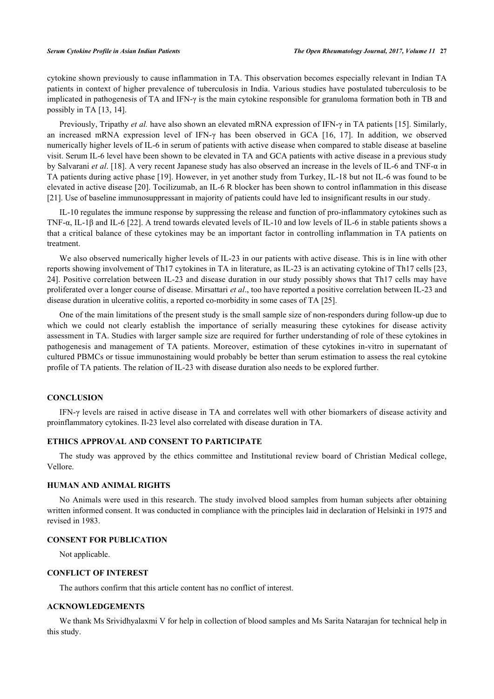cytokine shown previously to cause inflammation in TA. This observation becomes especially relevant in Indian TA patients in context of higher prevalence of tuberculosis in India. Various studies have postulated tuberculosis to be implicated in pathogenesis of TA and IFN-γ is the main cytokine responsible for granuloma formation both in TB and possibly in TA [[13,](#page-5-11) [14\]](#page-5-12).

Previously, Tripathy *et al.* have also shown an elevated mRNA expression of IFN-γ in TA patients [[15\]](#page-5-13). Similarly, an increased mRNA expression level of IFN-γ has been observed in GCA[[16](#page-5-14), [17\]](#page-5-15). In addition, we observed numerically higher levels of IL-6 in serum of patients with active disease when compared to stable disease at baseline visit. Serum IL-6 level have been shown to be elevated in TA and GCA patients with active disease in a previous study by Salvarani *et al*. [[18](#page-5-16)]. A very recent Japanese study has also observed an increase in the levels of IL-6 and TNF-α in TA patients during active phase [[19](#page-5-17)]. However, in yet another study from Turkey, IL-18 but not IL-6 was found to be elevated in active disease [[20\]](#page-6-0). Tocilizumab, an IL-6 R blocker has been shown to control inflammation in this disease [\[21](#page-6-1)]. Use of baseline immunosuppressant in majority of patients could have led to insignificant results in our study.

IL-10 regulates the immune response by suppressing the release and function of pro-inflammatory cytokines such as TNF-α, IL-1β and IL-6 [[22\]](#page-6-2). A trend towards elevated levels of IL-10 and low levels of IL-6 in stable patients shows a that a critical balance of these cytokines may be an important factor in controlling inflammation in TA patients on treatment.

We also observed numerically higher levels of IL-23 in our patients with active disease. This is in line with other reports showing involvement of Th17 cytokines in TA in literature, as IL-23 is an activating cytokine of Th17 cells [\[23](#page-6-3), [24\]](#page-6-4). Positive correlation between IL-23 and disease duration in our study possibly shows that Th17 cells may have proliferated over a longer course of disease. Mirsattari *et al*., too have reported a positive correlation between IL-23 and disease duration in ulcerative colitis, a reported co-morbidity in some cases of TA [[25\]](#page-6-5).

One of the main limitations of the present study is the small sample size of non-responders during follow-up due to which we could not clearly establish the importance of serially measuring these cytokines for disease activity assessment in TA. Studies with larger sample size are required for further understanding of role of these cytokines in pathogenesis and management of TA patients. Moreover, estimation of these cytokines in-vitro in supernatant of cultured PBMCs or tissue immunostaining would probably be better than serum estimation to assess the real cytokine profile of TA patients. The relation of IL-23 with disease duration also needs to be explored further.

#### **CONCLUSION**

IFN-γ levels are raised in active disease in TA and correlates well with other biomarkers of disease activity and proinflammatory cytokines. Il-23 level also correlated with disease duration in TA.

## **ETHICS APPROVAL AND CONSENT TO PARTICIPATE**

The study was approved by the ethics committee and Institutional review board of Christian Medical college, Vellore.

### **HUMAN AND ANIMAL RIGHTS**

No Animals were used in this research. The study involved blood samples from human subjects after obtaining written informed consent. It was conducted in compliance with the principles laid in declaration of Helsinki in 1975 and revised in 1983.

#### **CONSENT FOR PUBLICATION**

Not applicable.

#### **CONFLICT OF INTEREST**

The authors confirm that this article content has no conflict of interest.

# **ACKNOWLEDGEMENTS**

We thank Ms Srividhyalaxmi V for help in collection of blood samples and Ms Sarita Natarajan for technical help in this study.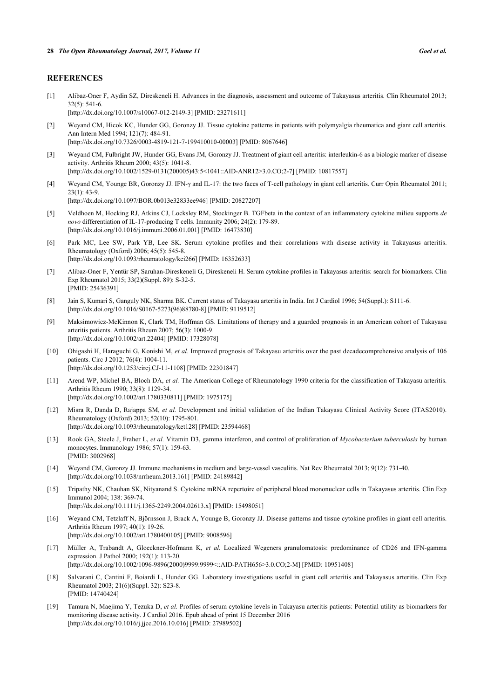#### **REFERENCES**

- <span id="page-5-0"></span>[1] Alibaz-Oner F, Aydin SZ, Direskeneli H. Advances in the diagnosis, assessment and outcome of Takayasus arteritis. Clin Rheumatol 2013; 32(5): 541-6. [\[http://dx.doi.org/10.1007/s10067-012-2149-3\]](http://dx.doi.org/10.1007/s10067-012-2149-3) [PMID: [23271611](http://www.ncbi.nlm.nih.gov/pubmed/23271611)]
- <span id="page-5-1"></span>[2] Weyand CM, Hicok KC, Hunder GG, Goronzy JJ. Tissue cytokine patterns in patients with polymyalgia rheumatica and giant cell arteritis. Ann Intern Med 1994; 121(7): 484-91. [\[http://dx.doi.org/10.7326/0003-4819-121-7-199410010-00003](http://dx.doi.org/10.7326/0003-4819-121-7-199410010-00003)] [PMID: [8067646\]](http://www.ncbi.nlm.nih.gov/pubmed/8067646)
- <span id="page-5-2"></span>[3] Weyand CM, Fulbright JW, Hunder GG, Evans JM, Goronzy JJ. Treatment of giant cell arteritis: interleukin-6 as a biologic marker of disease activity. Arthritis Rheum 2000; 43(5): 1041-8. [\[http://dx.doi.org/10.1002/1529-0131\(200005\)43:5<1041::AID-ANR12>3.0.CO;2-7](http://dx.doi.org/10.1002/1529-0131(200005)43:5<1041::AID-ANR12>3.0.CO;2-7)] [PMID: [10817557\]](http://www.ncbi.nlm.nih.gov/pubmed/10817557)
- <span id="page-5-3"></span>[4] Weyand CM, Younge BR, Goronzy JJ. IFN-γ and IL-17: the two faces of T-cell pathology in giant cell arteritis. Curr Opin Rheumatol 2011;  $23(1)$ : 43-9. [\[http://dx.doi.org/10.1097/BOR.0b013e32833ee946\]](http://dx.doi.org/10.1097/BOR.0b013e32833ee946) [PMID: [20827207](http://www.ncbi.nlm.nih.gov/pubmed/20827207)]
- <span id="page-5-4"></span>[5] Veldhoen M, Hocking RJ, Atkins CJ, Locksley RM, Stockinger B. TGFbeta in the context of an inflammatory cytokine milieu supports *de novo* differentiation of IL-17-producing T cells. Immunity 2006; 24(2): 179-89. [\[http://dx.doi.org/10.1016/j.immuni.2006.01.001\]](http://dx.doi.org/10.1016/j.immuni.2006.01.001) [PMID: [16473830](http://www.ncbi.nlm.nih.gov/pubmed/16473830)]
- <span id="page-5-5"></span>[6] Park MC, Lee SW, Park YB, Lee SK. Serum cytokine profiles and their correlations with disease activity in Takayasus arteritis. Rheumatology (Oxford) 2006; 45(5): 545-8. [\[http://dx.doi.org/10.1093/rheumatology/kei266](http://dx.doi.org/10.1093/rheumatology/kei266)] [PMID: [16352633\]](http://www.ncbi.nlm.nih.gov/pubmed/16352633)
- <span id="page-5-6"></span>[7] Alibaz-Oner F, Yentür SP, Saruhan-Direskeneli G, Direskeneli H. Serum cytokine profiles in Takayasus arteritis: search for biomarkers. Clin Exp Rheumatol 2015; 33(2)(Suppl. 89): S-32-5. [PMID: [25436391\]](http://www.ncbi.nlm.nih.gov/pubmed/25436391)
- <span id="page-5-7"></span>[8] Jain S, Kumari S, Ganguly NK, Sharma BK. Current status of Takayasu arteritis in India. Int J Cardiol 1996; 54(Suppl.): S111-6. [\[http://dx.doi.org/10.1016/S0167-5273\(96\)88780-8\]](http://dx.doi.org/10.1016/S0167-5273(96)88780-8) [PMID: [9119512](http://www.ncbi.nlm.nih.gov/pubmed/9119512)]
- [9] Maksimowicz-McKinnon K, Clark TM, Hoffman GS. Limitations of therapy and a guarded prognosis in an American cohort of Takayasu arteritis patients. Arthritis Rheum 2007; 56(3): 1000-9. [\[http://dx.doi.org/10.1002/art.22404](http://dx.doi.org/10.1002/art.22404)] [PMID: [17328078\]](http://www.ncbi.nlm.nih.gov/pubmed/17328078)
- <span id="page-5-8"></span>[10] Ohigashi H, Haraguchi G, Konishi M, *et al.* Improved prognosis of Takayasu arteritis over the past decadecomprehensive analysis of 106 patients. Circ J 2012; 76(4): 1004-11. [\[http://dx.doi.org/10.1253/circj.CJ-11-1108\]](http://dx.doi.org/10.1253/circj.CJ-11-1108) [PMID: [22301847](http://www.ncbi.nlm.nih.gov/pubmed/22301847)]
- <span id="page-5-9"></span>[11] Arend WP, Michel BA, Bloch DA, *et al.* The American College of Rheumatology 1990 criteria for the classification of Takayasu arteritis. Arthritis Rheum 1990; 33(8): 1129-34. [\[http://dx.doi.org/10.1002/art.1780330811](http://dx.doi.org/10.1002/art.1780330811)] [PMID: [1975175\]](http://www.ncbi.nlm.nih.gov/pubmed/1975175)
- <span id="page-5-10"></span>[12] Misra R, Danda D, Rajappa SM, *et al.* Development and initial validation of the Indian Takayasu Clinical Activity Score (ITAS2010). Rheumatology (Oxford) 2013; 52(10): 1795-801. [\[http://dx.doi.org/10.1093/rheumatology/ket128](http://dx.doi.org/10.1093/rheumatology/ket128)] [PMID: [23594468\]](http://www.ncbi.nlm.nih.gov/pubmed/23594468)
- <span id="page-5-11"></span>[13] Rook GA, Steele J, Fraher L, *et al.* Vitamin D3, gamma interferon, and control of proliferation of *Mycobacterium tuberculosis* by human monocytes. Immunology 1986; 57(1): 159-63. [PMID: [3002968\]](http://www.ncbi.nlm.nih.gov/pubmed/3002968)
- <span id="page-5-12"></span>[14] Weyand CM, Goronzy JJ. Immune mechanisms in medium and large-vessel vasculitis. Nat Rev Rheumatol 2013; 9(12): 731-40. [\[http://dx.doi.org/10.1038/nrrheum.2013.161\]](http://dx.doi.org/10.1038/nrrheum.2013.161) [PMID: [24189842](http://www.ncbi.nlm.nih.gov/pubmed/24189842)]
- <span id="page-5-13"></span>[15] Tripathy NK, Chauhan SK, Nityanand S. Cytokine mRNA repertoire of peripheral blood mononuclear cells in Takayasus arteritis. Clin Exp Immunol 2004; 138: 369-74. [\[http://dx.doi.org/10.1111/j.1365-2249.2004.02613.x\]](http://dx.doi.org/10.1111/j.1365-2249.2004.02613.x) [PMID: [15498051](http://www.ncbi.nlm.nih.gov/pubmed/15498051)]
- <span id="page-5-14"></span>[16] Weyand CM, Tetzlaff N, Björnsson J, Brack A, Younge B, Goronzy JJ. Disease patterns and tissue cytokine profiles in giant cell arteritis. Arthritis Rheum 1997; 40(1): 19-26. [\[http://dx.doi.org/10.1002/art.1780400105](http://dx.doi.org/10.1002/art.1780400105)] [PMID: [9008596\]](http://www.ncbi.nlm.nih.gov/pubmed/9008596)
- <span id="page-5-15"></span>[17] Müller A, Trabandt A, Gloeckner-Hofmann K, *et al.* Localized Wegeners granulomatosis: predominance of CD26 and IFN-gamma expression. J Pathol 2000; 192(1): 113-20. [\[http://dx.doi.org/10.1002/1096-9896\(2000\)9999:9999<::AID-PATH656>3.0.CO;2-M](http://dx.doi.org/10.1002/1096-9896(2000)9999:9999<::AID-PATH656>3.0.CO;2-M)] [PMID: [10951408\]](http://www.ncbi.nlm.nih.gov/pubmed/10951408)
- <span id="page-5-16"></span>[18] Salvarani C, Cantini F, Boiardi L, Hunder GG. Laboratory investigations useful in giant cell arteritis and Takayasus arteritis. Clin Exp Rheumatol 2003; 21(6)(Suppl. 32): S23-8. [PMID: [14740424\]](http://www.ncbi.nlm.nih.gov/pubmed/14740424)
- <span id="page-5-17"></span>[19] Tamura N, Maejima Y, Tezuka D, *et al.* Profiles of serum cytokine levels in Takayasu arteritis patients: Potential utility as biomarkers for monitoring disease activity. J Cardiol 2016. Epub ahead of print 15 December 2016 [\[http://dx.doi.org/10.1016/j.jjcc.2016.10.016\]](http://dx.doi.org/10.1016/j.jjcc.2016.10.016) [PMID: [27989502](http://www.ncbi.nlm.nih.gov/pubmed/27989502)]